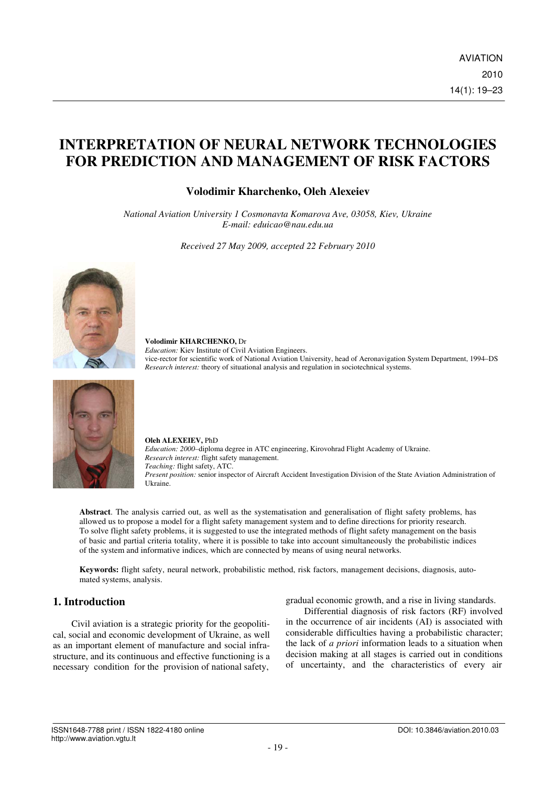# **INTERPRETATION OF NEURAL NETWORK TECHNOLOGIES FOR PREDICTION AND MANAGEMENT OF RISK FACTORS**

## **Volodimir Kharchenko, Oleh Alexeiev**

*National Aviation University 1 Cosmonavta Komarova Ave, 03058, Kiev, Ukraine E-mail: eduicao@nau.edu.ua* 

*Received 27 May 2009, accepted 22 February 2010* 



**Volodimir KHARCHENKO,** Dr *Education:* Kiev Institute of Civil Aviation Engineers. vice-rector for scientific work of National Aviation University, head of Aeronavigation System Department, 1994–DS *Research interest:* theory of situational analysis and regulation in sociotechnical systems.



**Oleh ALEXEIEV,** PhD *Education: 2000–*diploma degree in ATC engineering, Kirovohrad Flight Academy of Ukraine. *Research interest:* flight safety management. *Teaching:* flight safety, ATC. *Present position:* senior inspector of Aircraft Accident Investigation Division of the State Aviation Administration of Ukraine.

**Abstract**. The analysis carried out, as well as the systematisation and generalisation of flight safety problems, has allowed us to propose a model for a flight safety management system and to define directions for priority research. To solve flight safety problems, it is suggested to use the integrated methods of flight safety management on the basis of basic and partial criteria totality, where it is possible to take into account simultaneously the probabilistic indices of the system and informative indices, which are connected by means of using neural networks.

**Keywords:** flight safety, neural network, probabilistic method, risk factors, management decisions, diagnosis, automated systems, analysis.

## **1. Introduction**

Civil aviation is a strategic priority for the geopolitical, social and economic development of Ukraine, as well as an important element of manufacture and social infrastructure, and its continuous and effective functioning is a necessary condition for the provision of national safety,

gradual economic growth, and a rise in living standards.

Differential diagnosis of risk factors (RF) involved in the occurrence of air incidents (AI) is associated with considerable difficulties having a probabilistic character; the lack of *a priori* information leads to a situation when decision making at all stages is carried out in conditions of uncertainty, and the characteristics of every air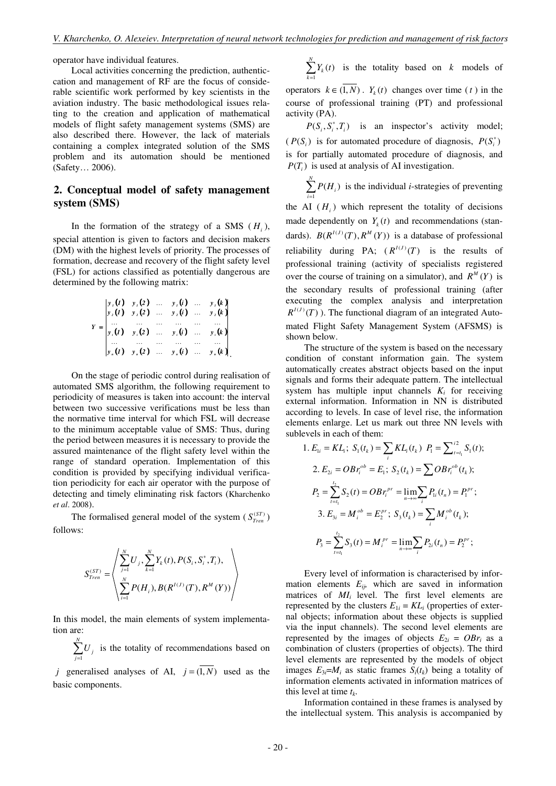operator have individual features.

Local activities concerning the prediction, authenticcation and management of RF are the focus of considerable scientific work performed by key scientists in the aviation industry. The basic methodological issues relating to the creation and application of mathematical models of flight safety management systems (SMS) are also described there. However, the lack of materials containing a complex integrated solution of the SMS problem and its automation should be mentioned (Safety… 2006).

## **2. Conceptual model of safety management system (SMS)**

In the formation of the strategy of a SMS  $(H_i)$ , special attention is given to factors and decision makers (DM) with the highest levels of priority. The processes of formation, decrease and recovery of the flight safety level (FSL) for actions classified as potentially dangerous are determined by the following matrix:

$$
Y = \begin{bmatrix} y_1(t) & y_1(2) & \dots & y_1(t) & \dots & y_1(k) \\ y_2(t) & y_2(2) & \dots & y_2(t) & \dots & y_2(k) \\ \dots & \dots & \dots & \dots & \dots & \dots \\ y_i(t) & y_i(2) & \dots & y_i(t) & \dots & y_i(k) \\ \dots & \dots & \dots & \dots & \dots & \dots \\ y_n(t) & y_n(2) & \dots & y_n(t) & \dots & y_n(k) \end{bmatrix}
$$

On the stage of periodic control during realisation of automated SMS algorithm, the following requirement to periodicity of measures is taken into account: the interval between two successive verifications must be less than the normative time interval for which FSL will decrease to the minimum acceptable value of SMS: Thus, during the period between measures it is necessary to provide the assured maintenance of the flight safety level within the range of standard operation. Implementation of this condition is provided by specifying individual verification periodicity for each air operator with the purpose of detecting and timely eliminating risk factors (Kharchenko *et al*. 2008).

The formalised general model of the system ( $S_{Tren}^{(ST)}$ ) follows:

$$
S_{Tren}^{(ST)} = \left\langle \sum_{j=1}^{N} U_j, \sum_{k=1}^{N} Y_k(t), P(S_i, S_i^*, T_i), \sum_{i=1}^{N} P(H_i), B(R^{I(J)}(T), R^M(T)) \right\rangle
$$

In this model, the main elements of system implementation are:

1 *N*  $\sum_{j=1}$ <sup> $\cup$ </sup> *j U*  $\sum_{j=1}^{N} U_j$  is the totality of recommendations based on

*j* generalised analyses of AI,  $j = (1, N)$  used as the basic components.

1  $\sum_{k=1}^{N} Y_{k}(t)$  $\sum_{k=1}^{\infty}$  $Y_{k}$   $(t$  $\sum_{k=1}^{N} Y_k(t)$  is the totality based on *k* models of operators  $k \in (1, N)$ .  $Y_k(t)$  changes over time (*t*) in the course of professional training (PT) and professional

activity (PA).  $P(S_i, S_i^*, T_i)$  is an inspector's activity model; ( $P(S_i)$ ) is for automated procedure of diagnosis,  $P(S_i^*)$ is for partially automated procedure of diagnosis, and  $P(T_i)$  is used at analysis of AI investigation.

1  $\sum_{i=1}^{N} P(H_i)$  $\sum_{i=1}^{\infty}$ <sup>*i*</sup> (*i*<sup>1</sup><sub>*i*</sub> *P H*  $\sum_{i=1}^{N} P(H_i)$  is the individual *i*-strategies of preventing the AI  $(H_i)$  which represent the totality of decisions made dependently on  $Y_k(t)$  and recommendations (standards).  $B(R^{I(J)}(T), R^M(Y))$  is a database of professional reliability during PA;  $(R^{I(J)}(T)$  is the results of professional training (activity of specialists registered over the course of training on a simulator), and  $R^{M}(Y)$  is the secondary results of professional training (after executing the complex analysis and interpretation  $R^{I(J)}(T)$ ). The functional diagram of an integrated Automated Flight Safety Management System (AFSMS) is shown below.

The structure of the system is based on the necessary condition of constant information gain. The system automatically creates abstract objects based on the input signals and forms their adequate pattern. The intellectual system has multiple input channels  $K_i$  for receiving external information. Information in NN is distributed according to levels. In case of level rise, the information elements enlarge. Let us mark out three NN levels with sublevels in each of them:

1. 
$$
E_{1i} = KL_i
$$
;  $S_1(t_k) = \sum_i KL_i(t_k) P_1 = \sum_{i=1}^{i2} S_1(t)$ ;  
\n2.  $E_{2i} = OBr_i^{ob} = E_1$ ;  $S_2(t_k) = \sum OBr_i^{ob}(t_k)$ ;  
\n $P_2 = \sum_{i=1}^{t_2} S_2(t) = OBr_i^{pr} = \lim_{n \to \infty} \sum_{i} P_{1i}(t_n) = P_1^{pr}$ ;  
\n3.  $E_{3i} = M_i^{ob} = E_2^{pr}$ ;  $S_3(t_k) = \sum_{i} M_i^{ob}(t_k)$ ;  
\n $P_3 = \sum_{i=1}^{t_2} S_3(t) = M_i^{pr} = \lim_{n \to \infty} \sum_{i} P_{2i}(t_n) = P_2^{pr}$ ;

Every level of information is characterised by information elements  $E_{ij}$ , which are saved in information matrices of  $MI_i$  level. The first level elements are represented by the clusters  $E_{1i} = KL_i$  (properties of external objects; information about these objects is supplied via the input channels). The second level elements are represented by the images of objects  $E_{2i} = OBr_i$  as a combination of clusters (properties of objects). The third level elements are represented by the models of object images  $E_{3i} = M_i$  as static frames  $S_i(t_k)$  being a totality of information elements activated in information matrices of this level at time *t<sup>k</sup>* .

Information contained in these frames is analysed by the intellectual system. This analysis is accompanied by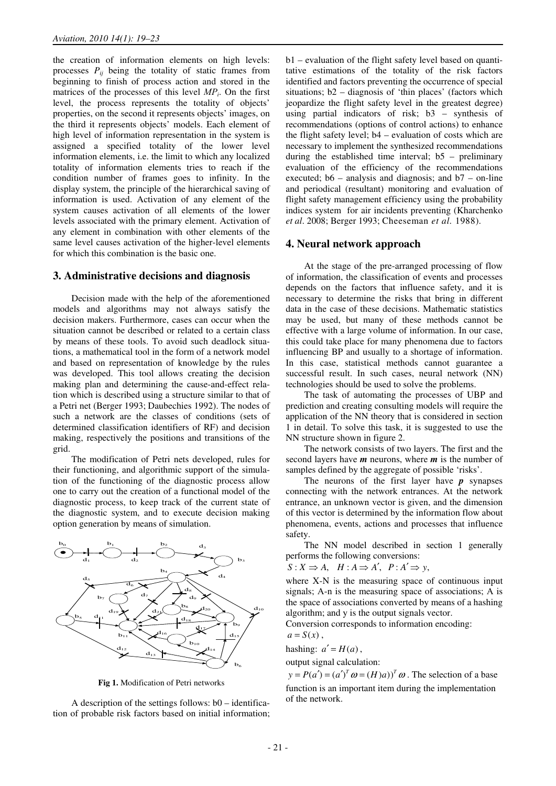the creation of information elements on high levels: processes *Pij* being the totality of static frames from beginning to finish of process action and stored in the matrices of the processes of this level МР*<sup>i</sup>* . On the first level, the process represents the totality of objects' properties, on the second it represents objects' images, on the third it represents objects' models. Each element of high level of information representation in the system is assigned a specified totality of the lower level information elements, i.e. the limit to which any localized totality of information elements tries to reach if the condition number of frames goes to infinity. In the display system, the principle of the hierarchical saving of information is used. Activation of any element of the system causes activation of all elements of the lower levels associated with the primary element. Activation of any element in combination with other elements of the same level causes activation of the higher-level elements for which this combination is the basic one.

### **3. Administrative decisions and diagnosis**

Decision made with the help of the aforementioned models and algorithms may not always satisfy the decision makers. Furthermore, cases can occur when the situation cannot be described or related to a certain class by means of these tools. To avoid such deadlock situations, a mathematical tool in the form of a network model and based on representation of knowledge by the rules was developed. This tool allows creating the decision making plan and determining the cause-and-effect relation which is described using a structure similar to that of a Petri net (Berger 1993; Daubechies 1992). The nodes of such a network are the classes of conditions (sets of determined classification identifiers of RF) and decision making, respectively the positions and transitions of the grid.

The modification of Petri nets developed, rules for their functioning, and algorithmic support of the simulation of the functioning of the diagnostic process allow one to carry out the creation of a functional model of the diagnostic process, to keep track of the current state of the diagnostic system, and to execute decision making option generation by means of simulation.



**Fig 1.** Modification of Petri networks

A description of the settings follows: b0 – identification of probable risk factors based on initial information; b1 – evaluation of the flight safety level based on quantitative estimations of the totality of the risk factors identified and factors preventing the occurrence of special situations; b2 – diagnosis of 'thin places' (factors which jeopardize the flight safety level in the greatest degree) using partial indicators of risk; b3 – synthesis of recommendations (options of control actions) to enhance the flight safety level; b4 – evaluation of costs which are necessary to implement the synthesized recommendations during the established time interval; b5 – preliminary evaluation of the efficiency of the recommendations executed;  $b6 -$  analysis and diagnosis; and  $b7 -$  on-line and periodical (resultant) monitoring and evaluation of flight safety management efficiency using the probability indices system for air incidents preventing (Kharchenko *et al*. 2008; Berger 1993; Cheeseman *et al.* 1988).

#### **4. Neural network approach**

At the stage of the pre-arranged processing of flow of information, the classification of events and processes depends on the factors that influence safety, and it is necessary to determine the risks that bring in different data in the case of these decisions. Mathematic statistics may be used, but many of these methods cannot be effective with a large volume of information. In our case, this could take place for many phenomena due to factors influencing BP and usually to a shortage of information. In this case, statistical methods cannot guarantee a successful result. In such cases, neural network (NN) technologies should be used to solve the problems.

The task of automating the processes of UBP and prediction and creating consulting models will require the application of the NN theory that is considered in section 1 in detail. To solve this task, it is suggested to use the NN structure shown in figure 2.

The network consists of two layers. The first and the second layers have *m* neurons, where *m* is the number of samples defined by the aggregate of possible 'risks'.

The neurons of the first layer have *p* synapses connecting with the network entrances. At the network entrance, an unknown vector is given, and the dimension of this vector is determined by the information flow about phenomena, events, actions and processes that influence safety.

The NN model described in section 1 generally performs the following conversions:

$$
S: X \Rightarrow A, \quad H: A \Rightarrow A', \quad P: A' \Rightarrow y,
$$

where X-N is the measuring space of continuous input signals; А-n is the measuring space of associations; А is the space of associations converted by means of a hashing algorithm; and y is the output signals vector.

Conversion corresponds to information encoding:

 $a = S(x)$ ,

hashing:  $a' = H(a)$ ,

output signal calculation:

 $y = P(a') = (a')^T \omega = (H) a)^T \omega$ . The selection of a base function is an important item during the implementation of the network.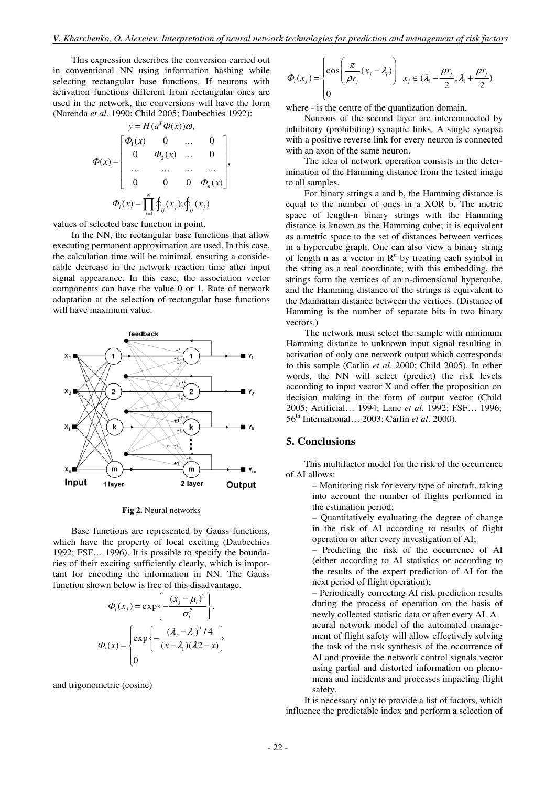This expression describes the conversion carried out in conventional NN using information hashing while selecting rectangular base functions. If neurons with activation functions different from rectangular ones are used in the network, the conversions will have the form (Narenda *et al*. 1990; Child 2005; Daubechies 1992):

$$
y = H(a^T \Phi(x))\omega,
$$
  
\n
$$
\Phi(x) = \begin{bmatrix} \Phi_1(x) & 0 & \dots & 0 \\ 0 & \Phi_2(x) & \dots & 0 \\ \dots & \dots & \dots & \dots \\ 0 & 0 & 0 & \Phi_n(x) \end{bmatrix},
$$
  
\n
$$
\Phi_i(x) = \prod_{j=1}^N \oint_{ij} (x_j); \oint_{ij} (x_j)
$$

values of selected base function in point.

In the NN, the rectangular base functions that allow executing permanent approximation are used. In this case, the calculation time will be minimal, ensuring a considerable decrease in the network reaction time after input signal appearance. In this case, the association vector components can have the value 0 or 1. Rate of network adaptation at the selection of rectangular base functions will have maximum value.



**Fig 2.** Neural networks

Base functions are represented by Gauss functions, which have the property of local exciting (Daubechies 1992; FSF… 1996). It is possible to specify the boundaries of their exciting sufficiently clearly, which is important for encoding the information in NN. The Gauss function shown below is free of this disadvantage.

$$
\Phi_i(x_j) = \exp\left\{-\frac{(x_j - \mu_i)^2}{\sigma_i^2}\right\}.
$$

$$
\Phi_i(x) = \begin{cases} \exp\left\{-\frac{(\lambda_2 - \lambda_1)^2 / 4}{(x - \lambda_1)(\lambda_2 - x)}\right\} \\ 0 \end{cases}
$$

and trigonometric (cosine)

$$
\Phi_i(x_j) = \begin{cases} \cos\left(\frac{\pi}{\rho r_j}(x_j - \lambda_i)\right) & x_j \in (\lambda_i - \frac{\rho r_j}{2}, \lambda_i + \frac{\rho r_j}{2})\\ 0 & \end{cases}
$$

where - is the centre of the quantization domain.

Neurons of the second layer are interconnected by inhibitory (prohibiting) synaptic links. A single synapse with a positive reverse link for every neuron is connected with an axon of the same neuron.

The idea of network operation consists in the determination of the Hamming distance from the tested image to all samples.

For binary strings a and b, the Hamming distance is equal to the number of ones in a XOR b. The metric space of length-n binary strings with the Hamming distance is known as the Hamming cube; it is equivalent as a metric space to the set of distances between vertices in a hypercube graph. One can also view a binary string of length n as a vector in  $R<sup>n</sup>$  by treating each symbol in the string as a real coordinate; with this embedding, the strings form the vertices of an n-dimensional hypercube, and the Hamming distance of the strings is equivalent to the Manhattan distance between the vertices. (Distance of Hamming is the number of separate bits in two binary vectors.)

The network must select the sample with minimum Hamming distance to unknown input signal resulting in activation of only one network output which corresponds to this sample (Carlin *et al*. 2000; Child 2005). In other words, the NN will select (predict) the risk levels according to input vector X and offer the proposition on decision making in the form of output vector (Child 2005; Artificial… 1994; Lane *et al.* 1992; FSF… 1996; 56th International… 2003; Carlin *et al*. 2000).

#### **5. Conclusions**

This multifactor model for the risk of the occurrence of AI allows:

- Monitoring risk for every type of aircraft, taking into account the number of flights performed in the estimation period;
- Quantitatively evaluating the degree of change in the risk of AI according to results of flight operation or after every investigation of AI;
- Predicting the risk of the occurrence of AI (either according to AI statistics or according to the results of the expert prediction of AI for the next period of flight operation);

– Periodically correcting AI risk prediction results during the process of operation on the basis of newly collected statistic data or after every AI. A

neural network model of the automated management of flight safety will allow effectively solving the task of the risk synthesis of the occurrence of AI and provide the network control signals vector using partial and distorted information on phenomena and incidents and processes impacting flight safety.

It is necessary only to provide a list of factors, which influence the predictable index and perform a selection of